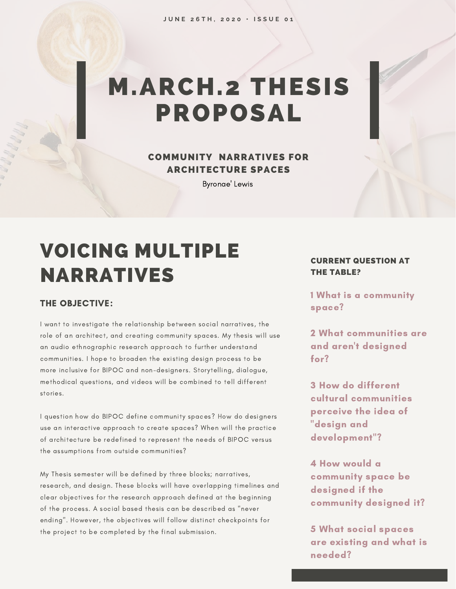# M.ARCH.2 THESIS PROPOSAL

### COMMUNITY NARRATIVES FOR ARCHITECTURE SPACES

Byronae' Lewis

### VOICING MULTIPLE NARRATIVES

#### THE OBJECTIVE:

I want to investigate the relationship between social narratives, the role of an architect, and creating community spaces. My thesis will use an audio ethnographic research approach to further understand communities. I hope to broaden the existing design process to be more inclusive for BIPOC and non-designers. Storytelling, dialogue, methodical questions, and videos will be combined to tell different stories.

I question how do BIPOC define community spaces? How do designers use an interactive approach to create spaces? When will the practice of architecture be redefined to represent the needs of BIPOC versus the assumptions from outside communities?

My Thesis semester will be defined by three blocks; narratives, research, and design. These blocks will have overlapping timelines and clear objectives for the research approach defined at the beginning of the process. A social based thesis can be described as "never ending". However, the objectives will follow distinct checkpoints for the project to be completed by the final submission.

#### CURRENT QUESTION AT THE TABLE?

1 What is a community space?

2 What communities are and aren't designed for?

3 How do different cultural communities perceive the idea of "design and development"?

4 How would a community space be designed if the community designed it?

5 What social spaces are existing and what is needed?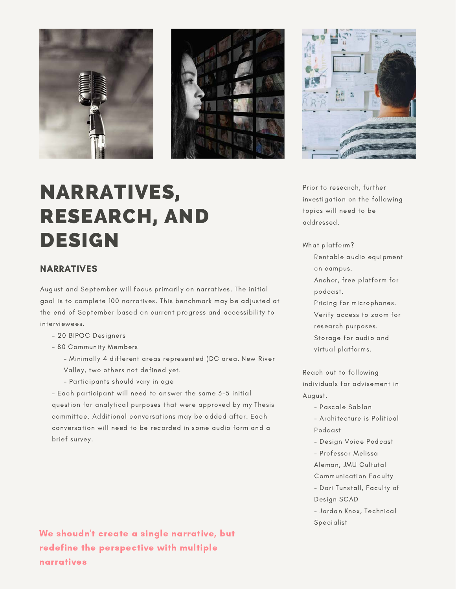



## NARRATIVES, RESEARCH, AND DESIGN

#### NARRATIVES

August and September will focus primarily on narratives. The initial goal is to complete 100 narratives. This benchmark may be adjusted at the end of September based on current progress and accessibility to interviewees.

- 20 BIPOC Designers
- 80 Community Members
	- Minimally 4 different areas represented (DC area, New River Valley, two others not defined yet.
	- Participants should vary in age

- Each participant will need to answer the same 3-5 initial question for analytical purposes that were approved by my Thesis committee. Additional conversations may be added after. Each conversation will need to be recorded in some audio form and a brief survey.

We shoudn't create a single narrative, but redefine the perspective with multiple narratives

Prior to research, further investigation on the following topics will need to be addressed.

What platform?

- Rentable audio equipment on campus.
- Anchor, free platform for podcast.
- Pricing for microphones.
- Verify access to zoom for
- research purposes. Storage for audio and
- virtual platforms.

Reach out to following individuals for advisement in August.

- Pascale Sablan
- Architecture is Political Podcast
- Design Voice Podcast
- Professor Melissa
- Aleman, JMU Cultutal
- Communication Faculty
- Dori Tunstall, Faculty of Design SCAD
- Jordan Knox, Technical **Specialist**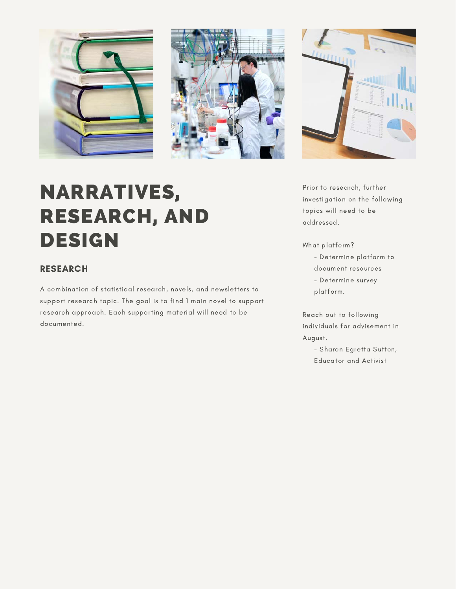





## NARRATIVES, RESEARCH, AND DESIGN

### RESEARCH

A combination of statistical research, novels, and newsletters to support research topic. The goal is to find 1 main novel to support research approach. Each supporting material will need to be documented.

Prior to research, further investigation on the following topics will need to be addressed.

What platform?

- Determine platform to
- document resources
- Determine survey
- platform.

Reach out to following individuals for advisement in August.

- Sharon Egretta Sutton, Educator and Activist